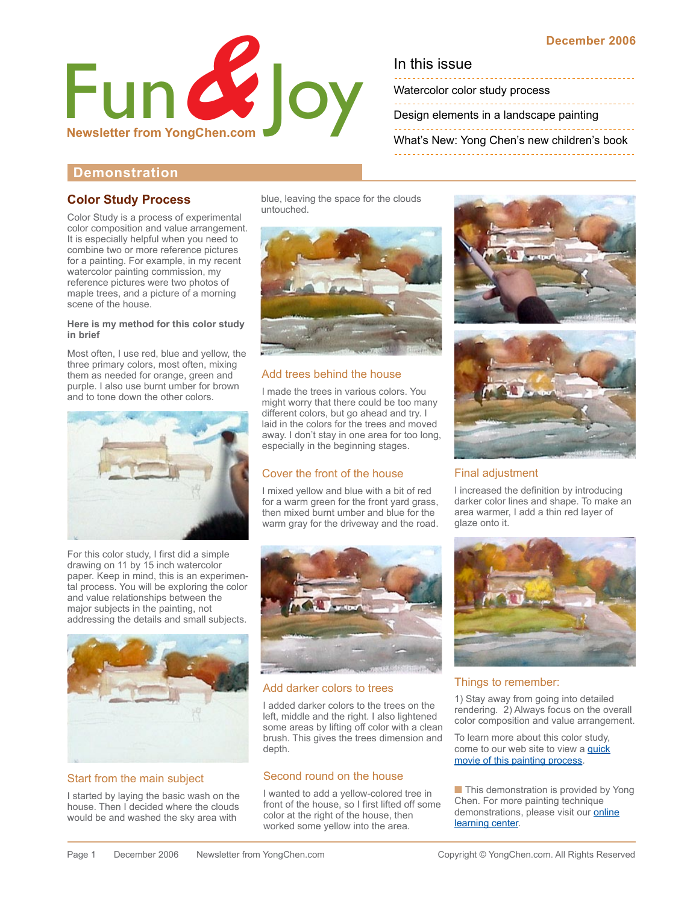

Watercolor color study process

[Design elements in a landscape painting](#page-1-0)

[What's New: Yong Chen's new children's book](#page-1-0)

# **Demonstration**

### **Color Study Process**

Color Study is a process of experimental color composition and value arrangement. It is especially helpful when you need to combine two or more reference pictures for a painting. For example, in my recent watercolor painting commission, my reference pictures were two photos of maple trees, and a picture of a morning scene of the house.

#### **Here is my method for this color study in brief**

Most often, I use red, blue and yellow, the three primary colors, most often, mixing them as needed for orange, green and purple. I also use burnt umber for brown and to tone down the other colors.



For this color study, I first did a simple drawing on 11 by 15 inch watercolor paper. Keep in mind, this is an experimental process. You will be exploring the color and value relationships between the major subjects in the painting, not addressing the details and small subjects.



### Start from the main subject

I started by laying the basic wash on the house. Then I decided where the clouds would be and washed the sky area with

blue, leaving the space for the clouds untouched.



### Add trees behind the house

I made the trees in various colors. You might worry that there could be too many different colors, but go ahead and try. I laid in the colors for the trees and moved away. I don't stay in one area for too long, especially in the beginning stages.

# Cover the front of the house

I mixed yellow and blue with a bit of red for a warm green for the front yard grass, then mixed burnt umber and blue for the warm gray for the driveway and the road.



### Add darker colors to trees

I added darker colors to the trees on the left, middle and the right. I also lightened some areas by lifting off color with a clean brush. This gives the trees dimension and depth.

### Second round on the house

I wanted to add a yellow-colored tree in front of the house, so I first lifted off some color at the right of the house, then worked some yellow into the area.





#### Final adjustment

I increased the definition by introducing darker color lines and shape. To make an area warmer, I add a thin red layer of glaze onto it.



#### Things to remember:

1) Stay away from going into detailed rendering. 2) Always focus on the overall color composition and value arrangement.

To learn more about this color study, come to our web site to view a **quick** movie of this painting process.

■ This demonstration is provided by Yong Chen. For more painting technique demonstrations, please visit our **online** [learning center.](http://www.yongchen.com/index_learning.html)